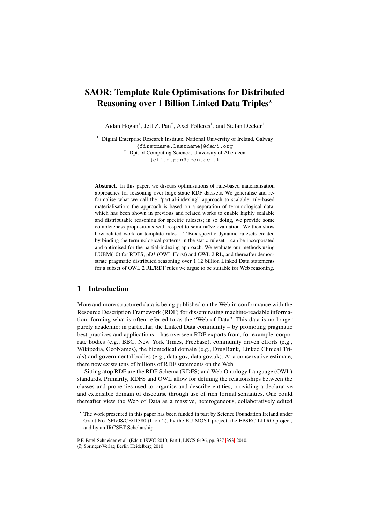# **SAOR: Template Rule Optimisations for Distributed Reasoning over 1 Billion Linked Data Triples***-*

Aidan Hogan<sup>1</sup>, Jeff Z. Pan<sup>2</sup>, Axel Polleres<sup>1</sup>, and Stefan Decker<sup>1</sup>

<sup>1</sup> Digital Enterprise Research Institute, National University of Ireland, Galway *{*firstname.lastname*}*@deri.org <sup>2</sup> Dpt. of Computing Science, University of Aberdeen jeff.z.pan@abdn.ac.uk

**Abstract.** In this paper, we discuss optimisations of rule-based materialisation approaches for reasoning over large static RDF datasets. We generalise and reformalise what we call the "partial-indexing" approach to scalable rule-based materialisation: the approach is based on a separation of terminological data, which has been shown in previous and related works to enable highly scalable and distributable reasoning for specific rulesets; in so doing, we provide some completeness propositions with respect to semi-naïve evaluation. We then show how related work on template rules – T-Box-specific dynamic rulesets created by binding the terminological patterns in the static ruleset – can be incorporated and optimised for the partial-indexing approach. We evaluate our methods using LUBM(10) for RDFS, pD\* (OWL Horst) and OWL 2 RL, and thereafter demonstrate pragmatic distributed reasoning over 1.12 billion Linked Data statements for a subset of OWL 2 RL/RDF rules we argue to be suitable for Web reasoning.

# **1 Introduction**

More and more structured data is being published on the Web in conformance with the Resource Description Framework (RDF) for disseminating machine-readable information, forming what is often referred to as the "Web of Data". This data is no longer purely academic: in particular, the Linked Data community – by promoting pragmatic best-practices and applications – has overseen RDF exports from, for example, corporate bodies (e.g., BBC, New York Times, Freebase), community driven efforts (e.g., Wikipedia, GeoNames), the biomedical domain (e.g., DrugBank, Linked Clinical Trials) and governmental bodies (e.g., data.gov, data.gov.uk). At a conservative estimate, there now exists tens of billions of RDF statements on the Web.

Sitting atop RDF are the RDF Schema (RDFS) and Web Ontology Language (OWL) standards. Primarily, RDFS and OWL allow for defining the relationships between the classes and properties used to organise and describe entities, providing a declarative and extensible domain of discourse through use of rich formal semantics. One could thereafter view the Web of Data as a massive, heterogeneous, collaboratively edited

<sup>\*</sup> The work presented in this paper has been funded in part by Science Foundation Ireland under Grant No. SFI/08/CE/I1380 (Lion-2), by the EU MOST project, the EPSRC LITRO project, and by an IRCSET Scholarship.

P.F. Patel-Schneider et al. (Eds.): ISWC 2010, Part I, LNCS 6496, pp. 337[–353,](#page-16-0) 2010.

<sup>-</sup>c Springer-Verlag Berlin Heidelberg 2010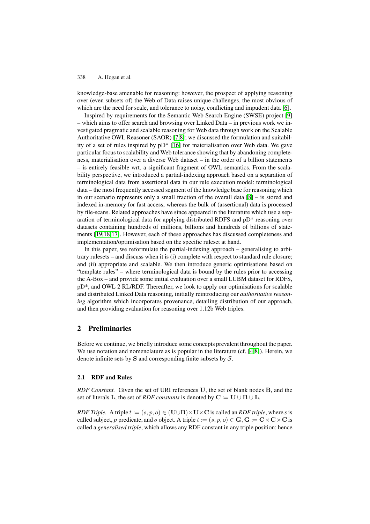knowledge-base amenable for reasoning: however, the prospect of applying reasoning over (even subsets of) the Web of Data raises unique challenges, the most obvious of which are the need for scale, and tolerance to noisy, conflicting and impudent data [\[6\]](#page-16-1).

Inspired by requirements for the Semantic Web Search Engine (SWSE) project [\[9\]](#page-16-2) – which aims to offer search and browsing over Linked Data – in previous work we investigated pragmatic and scalable reasoning for Web data through work on the Scalable Authoritative OWL Reasoner (SAOR) [\[7,](#page-16-3)[8\]](#page-16-4); we discussed the formulation and suitability of a set of rules inspired by  $pD^*$  [\[16\]](#page-16-5) for materialisation over Web data. We gave particular focus to scalability and Web tolerance showing that by abandoning completeness, materialisation over a diverse Web dataset – in the order of a billion statements – is entirely feasible wrt. a significant fragment of OWL semantics. From the scalability perspective, we introduced a partial-indexing approach based on a separation of terminological data from assertional data in our rule execution model: terminological data – the most frequently accessed segment of the knowledge base for reasoning which in our scenario represents only a small fraction of the overall data [\[8\]](#page-16-4) – is stored and indexed in-memory for fast access, whereas the bulk of (assertional) data is processed by file-scans. Related approaches have since appeared in the literature which use a separation of terminological data for applying distributed RDFS and pD\* reasoning over datasets containing hundreds of millions, billions and hundreds of billions of statements [\[19](#page-16-6)[,18,](#page-16-7)[17\]](#page-16-8). However, each of these approaches has discussed completeness and implementation/optimisation based on the specific ruleset at hand.

In this paper, we reformulate the partial-indexing approach – generalising to arbitrary rulesets – and discuss when it is (i) complete with respect to standard rule closure; and (ii) appropriate and scalable. We then introduce generic optimisations based on "template rules" – where terminological data is bound by the rules prior to accessing the A-Box – and provide some initial evaluation over a small LUBM dataset for RDFS, pD\*, and OWL 2 RL/RDF. Thereafter, we look to apply our optimisations for scalable and distributed Linked Data reasoning, initially reintroducing our *authoritative reasoning* algorithm which incorporates provenance, detailing distribution of our approach, and then providing evaluation for reasoning over 1.12b Web triples.

# **2 Preliminaries**

Before we continue, we briefly introduce some concepts prevalent throughout the paper. We use notation and nomenclature as is popular in the literature (cf. [\[4,](#page-16-9)[8\]](#page-16-4)). Herein, we denote infinite sets by **S** and corresponding finite subsets by S.

## **2.1 RDF and Rules**

*RDF Constant.* Given the set of URI references **U**, the set of blank nodes **B**, and the set of literals **L**, the set of *RDF constants* is denoted by  $C := U \cup B \cup L$ .

*RDF Triple.* A triple  $t := (s, p, o) \in (\mathbf{U} \cup \mathbf{B}) \times \mathbf{U} \times \mathbf{C}$  is called an *RDF triple*, where *s* is called subject, *p* predicate, and *o* object. A triple  $t := (s, p, o) \in \mathbf{G}, \mathbf{G} := \mathbf{C} \times \mathbf{C} \times \mathbf{C}$  is called a *generalised triple*, which allows any RDF constant in any triple position: hence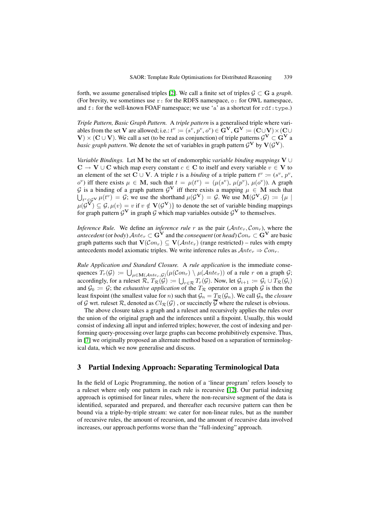forth, we assume generalised triples [\[2\]](#page-16-10). We call a finite set of triples  $\mathcal{G} \subset \mathbf{G}$  a *graph*. (For brevity, we sometimes use  $r:$  for the RDFS namespace,  $\circ:$  for OWL namespace, and  $f$ : for the well-known FOAF namespace; we use 'a' as a shortcut for  $rdf$ :  $type$ )

*Triple Pattern, Basic Graph Pattern.* A *triple pattern* is a generalised triple where variables from the set **V** are allowed; i.e.:  $t^v := (s^v, p^v, o^v) \in \mathbf{G}^V, \mathbf{G}^V := (\mathbf{C} \cup \mathbf{V}) \times (\mathbf{C} \cup \mathbf{V})$ **V**) × (**C** ∪ **V**). We call a set (to be read as conjunction) of triple patterns  $\mathcal{G}^V \subset \mathbf{G}^V$  a *basic graph pattern*. We denote the set of variables in graph pattern  $G^V$  by  $V(G^V)$ .

*Variable Bindings.* Let **M** be the set of endomorphic *variable binding mappings* **V** ∪ **C** → **V** ∪ **C** which map every constant  $c \in$  **C** to itself and every variable  $v \in$  **V** to an element of the set  $C \cup V$ . A triple *t* is a *binding* of a triple pattern  $t^v := (s^v, p^v,$  $\varphi$ <sup>v</sup>) iff there exists  $\mu \in M$ , such that  $t = \mu(t^v) = (\mu(s^v), \mu(p^v), \mu(o^v))$ . A graph G is a binding of a graph pattern  $\mathcal{G}^{\mathbf{V}}$  iff there exists a mapping  $\mu \in \mathbf{M}$  such that  $\bigcup_{t^v \in \mathcal{G}^V} \mu(t^v) = \mathcal{G}$ ; we use the shorthand  $\mu(\mathcal{G}^V) = \mathcal{G}$ . We use  $\mathbf{M}(\mathcal{G}^V, \mathcal{G}) := \{\mu \mid$  $\mu(\mathcal{G}^{\mathbf{V}}) \subseteq \mathcal{G}, \mu(v) = v$  if  $v \notin \mathbf{V}(\mathcal{G}^{\mathbf{V}})$  to denote the set of variable binding mappings for graph pattern  $\mathcal{G}^{\mathbf{V}}$  in graph  $\mathcal G$  which map variables outside  $\mathcal{G}^{\mathbf{V}}$  to themselves.

*Inference Rule.* We define an *inference rule* r as the pair  $(Anter, Con_r)$ , where the *antecedent* (or *body*)  $\mathcal{A}$ *nte<sub>r</sub>*  $\subset$  **G**<sup>**V**</sup> and the *consequent* (or *head*)  $\mathcal{C}$ *on<sub>r</sub>*  $\subset$  **G**<sup>**V**</sup> are basic graph patterns such that  $\mathbf{V}(Con_r) \subseteq \mathbf{V}(Ante_r)$  (range restricted) – rules with empty antecedents model axiomatic triples. We write inference rules as  $\mathcal{A}nte_r \Rightarrow \mathcal{C}on_r$ .

*Rule Application and Standard Closure.* A *rule application* is the immediate consequences  $T_r(\mathcal{G}) := \bigcup_{\mu \in \mathbf{M}(\mathcal{A}nte_r, \mathcal{G})} (\mu(\mathcal{C}on_r) \setminus \mu(\mathcal{A}nte_r))$  of a rule r on a graph  $\mathcal{G}$ ; accordingly, for a ruleset  $\mathcal{R}, T_{\mathcal{R}}(\mathcal{G}) := \bigcup_{r \in \mathcal{R}} T_r(\mathcal{G})$ . Now, let  $\mathcal{G}_{i+1} := \mathcal{G}_i \cup T_{\mathcal{R}}(\mathcal{G}_i)$ and  $\mathcal{G}_0 := \mathcal{G}$ ; the *exhaustive application* of the  $T_{\mathcal{R}}$  operator on a graph  $\mathcal{G}$  is then the least fixpoint (the smallest value for *n*) such that  $\mathcal{G}_n = T_{\mathcal{R}}(\mathcal{G}_n)$ . We call  $\mathcal{G}_n$  the *closure* of G wrt. ruleset R, denoted as  $Cl_{\mathcal{R}}(\mathcal{G})$ , or succinctly  $\overline{\mathcal{G}}$  where the ruleset is obvious.

The above closure takes a graph and a ruleset and recursively applies the rules over the union of the original graph and the inferences until a fixpoint. Usually, this would consist of indexing all input and inferred triples; however, the cost of indexing and performing query-processing over large graphs can become prohibitively expensive. Thus, in [\[7\]](#page-16-3) we originally proposed an alternate method based on a separation of terminological data, which we now generalise and discuss.

# **3 Partial Indexing Approach: Separating Terminological Data**

In the field of Logic Programming, the notion of a 'linear program' refers loosely to a ruleset where only one pattern in each rule is recursive [\[12\]](#page-16-11). Our partial indexing approach is optimised for linear rules, where the non-recursive segment of the data is identified, separated and prepared, and thereafter each recursive pattern can then be bound via a triple-by-triple stream: we cater for non-linear rules, but as the number of recursive rules, the amount of recursion, and the amount of recursive data involved increases, our approach performs worse than the "full-indexing" approach.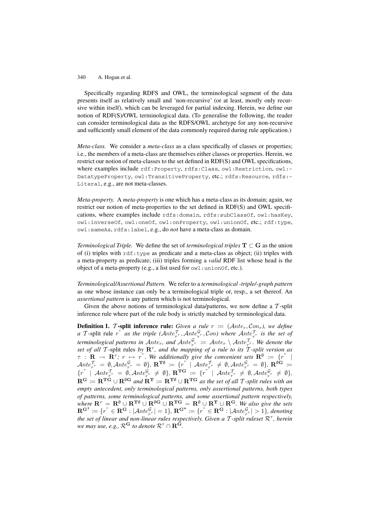Specifically regarding RDFS and OWL, the terminological segment of the data presents itself as relatively small and 'non-recursive' (or at least, mostly only recursive within itself), which can be leveraged for partial indexing. Herein, we define our notion of RDF(S)/OWL terminological data. (To generalise the following, the reader can consider terminological data as the RDFS/OWL archetype for any non-recursive and sufficiently small element of the data commonly required during rule application.)

*Meta-class.* We consider a *meta-class* as a class specifically of classes or properties; i.e., the members of a meta-class are themselves either classes or properties. Herein, we restrict our notion of meta-classes to the set defined in RDF(S) and OWL specifications, where examples include rdf: Property, rdfs: Class, owl: Restriction, owl:-DatatypeProperty, owl:TransitiveProperty, etc.; rdfs:Resource, rdfs:-Literal, e.g., are not meta-classes.

*Meta-property.* A *meta-property* is one which has a meta-class as its domain; again, we restrict our notion of meta-properties to the set defined in RDF(S) and OWL specifications, where examples include rdfs:domain, rdfs:subClassOf, owl:hasKey, owl:inverseOf, owl:oneOf, owl:onProperty, owl:unionOf, etc.; rdf:type, owl:sameAs, rdfs:label, e.g., do *not* have a meta-class as domain.

*Terminological Triple.* We define the set of *terminological triples*  $T \subset G$  as the union of (i) triples with  $\text{rdf}:$  type as predicate and a meta-class as object; (ii) triples with a meta-property as predicate; (iii) triples forming a *valid* RDF list whose head is the object of a meta-property (e.g., a list used for owl:unionOf, etc.).

*Terminological/Assertional Pattern.* We refer to a *terminological -triple/-graph pattern* as one whose instance can only be a terminological triple or, resp., a set thereof. An *assertional pattern* is any pattern which is not terminological.

Given the above notions of terminological data/patterns, we now define a  $\mathcal{T}$ -split inference rule where part of the rule body is strictly matched by terminological data.

**Definition 1.** T-split inference rule: Given a rule  $r := (Ante_r, Con_r)$ , we define *a T*-split rule  $r^{\dagger}$  *as the triple*  $(Ante_{r^{\dagger}}^T, Ante_{r^{\dagger}}^G, Con)$  *where*  $Ante_{r^{\dagger}}^T$  *is the set of terminological patterns in*  $\text{Ant}e_r$ *, and*  $\text{Ant}e_{r}^{\mathcal{G}}$  $:=$  $\text{Ant}e_r \setminus \text{Ant}e_{r}^{\mathcal{T}}$ *. We denote the set of all*  $\overline{T}$ -split rules *by*  $\mathbb{R}^T$ *, and the mapping of a rule to its*  $\overline{T}$ -split version as  $\tau$  :  $\mathbf{R} \to \mathbf{R}^{\tau}$ ;  $r \mapsto r^{\tau}$ . We additionally give the convenient sets  $\mathbf{R}^{\emptyset} := \{r^{\tau} \mid r^{\tau} \in \mathbb{R}^{\tau} \mid r^{\tau} \in \mathbb{R}^{\tau} \}$  $\mathcal{A}nte^{\mathcal{T}_{\tau^{\tau}}}_{r} = \emptyset, \mathcal{A}nte^{\mathcal{G}_{\tau^{\tau}}}_{r^{\tau}} = \emptyset\}, \ \mathbf{R}^{\mathbf{T}\emptyset} := \{r^{\tau^{\tau}} \mid \mathcal{A}nte^{\mathcal{T}_{\tau^{\tau}}}_{r^{\tau}} \neq \emptyset, \mathcal{A}nte^{\mathcal{G}_{\tau^{\tau}}}_{r^{\tau}} = \emptyset\}, \ \mathbf{R}^{\emptyset\mathbf{G}} :=$  ${r \atop r}$  |  $\text{Ant} e_{r}^{\mathcal{T}} = \emptyset, \text{Ant} e_{r}^{\mathcal{G}} \neq \emptyset$ ,  $\mathbf{R}^{\mathbf{TG}} \coloneqq {r \atop r}$  |  $\text{Ant} e_{r}^{\mathcal{T}} \neq \emptyset, \text{Ant} e_{r}^{\mathcal{G}} \neq \emptyset$ ,  $\mathbf{R^G}\coloneqq\mathbf{R^{TG}}\cup\mathbf{R^{0G}}$  and  $\mathbf{R^T}\coloneqq\mathbf{R^{T}}^\emptyset\cup\mathbf{R^{TG}}$  as the set of all T -split rules with an *empty antecedent, only terminological patterns, only assertional patterns, both types of patterns, some terminological patterns, and some assertional pattern respectively,*  $\mathbf{R}^{\tau} = \mathbf{R}^{\emptyset} \cup \mathbf{R}^{\mathbf{T}\emptyset} \cup \mathbf{R}^{\emptyset \mathbf{G}} \cup \mathbf{R}^{\mathbf{T}\mathbf{G}} = \mathbf{R}^{\emptyset} \cup \mathbf{R}^{\mathbf{T}} \cup \mathbf{R}^{\mathbf{G}}$ *. We also give the sets*  $\mathbf{R}^{\mathbf{G}^1} := \{r^{\tau} \in \mathbf{R}^{\mathbf{G}} : |\mathcal{A}nte^{\mathcal{G}}_{r^{\tau}}| = 1\}, \mathbf{R}^{\mathbf{G}^{\mathbf{n}}} := \{r^{\tau} \in \mathbf{R}^{\mathbf{G}} : |\mathcal{A}nte^{\mathcal{G}}_{r^{\tau}}| > 1\},$  denoting *the set of linear and non-linear rules respectively. Given a* T *-split ruleset* R<sup>τ</sup> *, herein we may use, e.g.,*  $\mathcal{R}^{\mathbf{G}}$  *to denote*  $\mathcal{R}^{\tau} \cap \mathbf{R}^{\mathbf{G}}$ *.*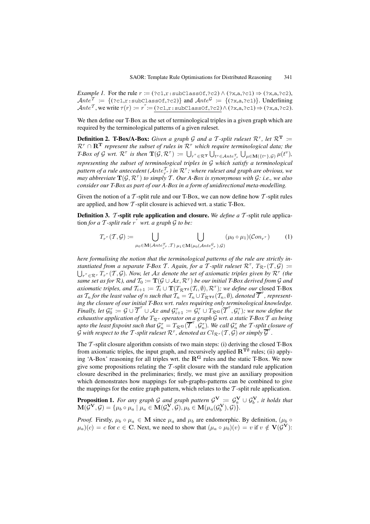*Example 1.* For the rule  $r := (2c1, r:subClassOf, 2c2) \wedge (2x, a, 2c1) \Rightarrow (2x, a, 2c2)$ ,  $\mathcal{A}nte^{\mathcal{T}} \coloneqq \{(?{\text{c1}, \text{r}: \text{subClassOf}, ?{\text{c2}}) \}$  and  $\mathcal{A}nte^{\mathcal{G}} \coloneqq \{(?{\text{x}, \text{a}, ?{\text{c1}}) \}.$  Underlining Ante<sup>T</sup>, we write  $\tau(r) := r^\tau := (?c1, r: \text{subClassOf}, ?c2) \wedge (?x, a, ?c1) \Rightarrow (?x, a, ?c2).$ 

We then define our T-Box as the set of terminological triples in a given graph which are required by the terminological patterns of a given ruleset.

**Definition 2. T-Box/A-Box:** *Given a graph G and a T-split ruleset*  $\mathbb{R}^{\tau}$ *, let*  $\mathbb{R}^{\mathbf{T}}$  := R<sup>τ</sup> ∩ **R<sup>T</sup>** *represent the subset of rules in* R<sup>τ</sup> *which require terminological data; the T-Box of* G wrt.  $\mathcal{R}^{\tau}$  is then  $\mathbf{T}(\mathcal{G}, \mathcal{R}^{\tau}) := \bigcup_{r^{\tau} \in \mathcal{R}^{\mathbf{T}}} \bigcup_{t^{\upsilon} \in \mathcal{A}nte_{r^{\tau}}^{\tau}} \bigcup_{\mu \in \mathbf{M}(\lbrace t^{\upsilon} \rbrace, \mathcal{G})} \mu(t^{\upsilon}),$ *representing the subset of terminological triples in* G *which satisfy a terminological*  $p$ attern of a rule antecedent ( $\mathcal{A}nte_{r^{\tau}}^{T}$ ) in  $\mathcal{R}^{\tau}$ ; where ruleset and graph are obvious, we *may abbreviate*  $\mathbf{T}(\mathcal{G}, \mathcal{R}^{\tau})$  *to simply* T. Our A-Box is synonymous with  $\mathcal{G}$ : *i.e., we also consider our T-Box as part of our A-Box in a form of unidirectional meta-modelling.*

Given the notion of a  $\mathcal T$ -split rule and our T-Box, we can now define how  $\mathcal T$ -split rules are applied, and how T -split closure is achieved wrt. a static T-Box.

**Definition 3.** T **-split rule application and closure.** *We define a* T -split rule application *for a* T *-split rule* r τ *wrt. a graph* G *to be:*

<span id="page-4-2"></span><span id="page-4-1"></span>
$$
T_{r^{\tau}}(\mathcal{T}, \mathcal{G}) := \bigcup_{\mu_0 \in \mathbf{M}(\mathcal{A}nte_{r^{\tau}}^{\mathcal{T}}, \mathcal{T})} \bigcup_{\mu_1 \in \mathbf{M}(\mu_0(\mathcal{A}nte_{r^{\tau}}^{\mathcal{G}}), \mathcal{G})} (\mu_0 \circ \mu_1)(\mathcal{C}on_{r^{\tau}})
$$
(1)

*here formalising the notion that the terminological patterns of the rule are strictly instantiated from a separate T-Box T. Again, for a T-split ruleset*  $\mathcal{R}^{\tau}$ ,  $T_{\mathcal{R}^{\tau}}(T, \mathcal{G}) :=$  $\bigcup_{r^{\tau} \in \mathcal{R}^{\tau}} T_{r^{\tau}}(T, \mathcal{G})$ *. Now, let Ax denote the set of axiomatic triples given by*  $\mathcal{R}^{\tau}$  *(the same set as for*  $\mathcal{R}$ *), and*  $\mathcal{T}_0 := \mathbf{T}(\mathcal{G} \cup \mathcal{A}\mathcal{x}, \mathcal{R}^{\tau})$  *be our initial T-Box derived from*  $\mathcal{G}$  *and axiomatic triples, and*  $\mathcal{T}_{i+1} := \mathcal{T}_i \cup \mathbf{T}(T_{\mathcal{R}^{\mathbf{T}\emptyset}}(\mathcal{T}_i, \emptyset), \mathcal{R}^{\tau})$ *; we define our* closed T-Box  $\overline{a}$ *s*  $T_n$  *for the least value of n such that*  $T_n = T_n \cup T_{\mathcal{R}^{T^0}}(T_n, \emptyset)$ *, denoted*  $\overline{T}^{\tau}$ *, representing the closure of our initial T-Box wrt. rules requiring only terminological knowledge. Finally, let*  $\mathcal{G}_0^{\tau} := \mathcal{G} \cup \overline{\mathcal{T}}^{\tau} \cup \mathcal{A}x$  and  $\mathcal{G}_{i+1}^{\tau} := \mathcal{G}_i^{\tau} \cup T_{\mathcal{R}} \circ (\overline{\mathcal{T}}^{\tau}, \mathcal{G}_i^{\tau})$ ; we now define the *exhaustive application of the*  $T_{\mathcal{R}^{\tau}}$  *operator on a graph*  $\mathcal G$  *wrt. a static T-Box*  $\mathcal T$  *as being* upto the least fixpoint such that  $\mathcal{G}_n^{\tau} = T_{\mathcal{R}^G}(\overline{T}^{\tau}, \mathcal{G}_n^{\tau})$ . We call  $\mathcal{G}_n^{\tau}$  the  $\tau$ -split closure of  $\overline{G}$  with respect to the T-split ruleset  $\mathcal{R}^{\tau}$ , denoted as  $Cl_{\mathcal{R}^{\tau}}(\mathcal{T}, \mathcal{G})$  or simply  $\overline{\mathcal{G}}^{\tau}$ .

The  $\mathcal T$ -split closure algorithm consists of two main steps: (i) deriving the closed T-Box from axiomatic triples, the input graph, and recursively applied  $\mathbb{R}^{T\bar{\psi}}$  rules; (ii) applying 'A-Box' reasoning for all triples wrt. the **R<sup>G</sup>** rules and the static T-Box. We now give some propositions relating the  $\mathcal T$ -split closure with the standard rule application closure described in the preliminaries; firstly, we must give an auxiliary proposition which demonstrates how mappings for sub-graphs-patterns can be combined to give the mappings for the entire graph pattern, which relates to the  $\mathcal T$ -split rule application.

<span id="page-4-0"></span>**Proposition 1.** *For any graph* G and graph pattern  $\mathcal{G}^{\mathbf{V}} := \mathcal{G}_{a}^{\mathbf{V}} \cup \mathcal{G}_{b}^{\mathbf{V}}$ , it holds that  $\mathbf{M}(\mathcal{G}^{\mathbf{V}}, \mathcal{G}) = \{\mu_b \circ \mu_a \mid \mu_a \in \mathbf{M}(\mathcal{G}_a^{\mathbf{V}}, \mathcal{G}), \mu_b \in \mathbf{M}(\mu_a(\mathcal{G}_b^{\mathbf{V}}), \mathcal{G})\}.$ 

*Proof.* Firstly,  $\mu_b \circ \mu_a \in M$  since  $\mu_a$  and  $\mu_b$  are endomorphic. By definition,  $(\mu_b \circ \mu_a)$  $\mu_a(c) = c$  for  $c \in \mathbb{C}$ . Next, we need to show that  $(\mu_a \circ \mu_b)(v) = v$  if  $v \notin \mathbb{V}(\mathcal{G}^{\mathbb{V}})$ :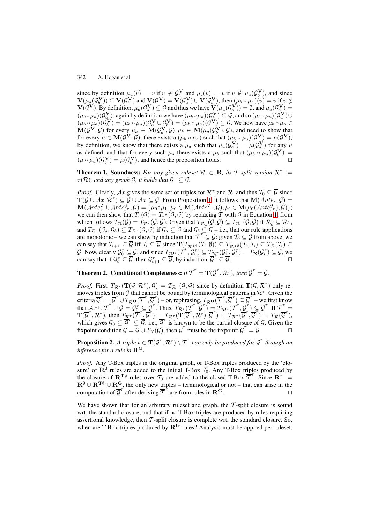since by definition  $\mu_a(v) = v$  if  $v \notin \mathcal{G}_a^{\mathbf{V}}$  and  $\mu_b(v) = v$  if  $v \notin \mu_a(\mathcal{G}_b^{\mathbf{V}})$ , and since  $\mathbf{V}(\mu_a(\mathcal{G}_b^{\mathbf{V}})) \subseteq \mathbf{V}(\mathcal{G}_b^{\mathbf{V}})$  and  $\mathbf{V}(\mathcal{G}^{\mathbf{V}}) = \mathbf{V}(\mathcal{G}_a^{\mathbf{V}}) \cup \mathbf{V}(\mathcal{G}_b^{\mathbf{V}})$ , then  $(\mu_b \circ \mu_a)(v) = v$  if  $v \notin$  $V(G^{\mathbf{V}})$ . By definition,  $\mu_a(G^{\mathbf{V}}_a) \subseteq \mathcal{G}$  and thus we have  $V(\mu_a(G^{\mathbf{V}}_a)) = \emptyset$ , and  $\mu_a(G^{\mathbf{V}}_a) =$  $(\mu_b \circ \mu_a)(\mathcal{G}_{a}^{\mathbf{V}})$ ; again by definition we have  $(\mu_b \circ \mu_a)(\mathcal{G}_{b}^{\mathbf{V}}) \subseteq \mathcal{G}$ , and so  $(\mu_b \circ \mu_a)(\mathcal{G}_{a}^{\mathbf{V}}) \cup$  $(\mu_b \circ \mu_a)(\tilde{G}_b^{\mathbf{V}}) = (\mu_b \circ \mu_a)(\mathcal{G}_a^{\mathbf{V}} \cup \mathcal{G}_b^{\mathbf{V}}) = (\mu_b \circ \mu_a)(\mathcal{G}^{\mathbf{V}}) \subseteq \mathcal{G}$ . We now have  $\mu_b \circ \mu_a \in$  $\mathbf{M}(\mathcal{G}^{\mathbf{V}}, \mathcal{G})$  for every  $\mu_a \in \mathbf{M}(\mathcal{G}_a^{\mathbf{V}}, \mathcal{G}), \mu_b \in \mathbf{M}(\mu_a(\mathcal{G}_b^{\mathbf{V}}), \mathcal{G})$ , and need to show that for every  $\mu \in \mathbf{M}(\mathcal{G}^{\mathbf{V}}, \mathcal{G})$ , there exists a  $(\mu_b \circ \mu_a)$  such that  $(\mu_b \circ \mu_a)(\mathcal{G}^{\mathbf{V}}) = \mu(\mathcal{G}^{\mathbf{V}})$ ; by definition, we know that there exists a  $\mu_a$  such that  $\mu_a(\mathcal{G}_a^{\mathbf{V}}) = \mu(\mathcal{G}_a^{\mathbf{V}})$  for any  $\mu$ as defined, and that for every such  $\mu_a$  there exists a  $\mu_b$  such that  $(\mu_b \circ \mu_a)(\mathcal{G}_b^{\mathbf{V}})$  =  $(\mu \circ \mu_a)(\mathcal{G}_b^{\mathbf{V}}) = \mu(\mathcal{G}_b^{\mathbf{V}})$ , and hence the proposition holds.

**Theorem 1. Soundness:** For any given ruleset  $\mathcal{R} \subset \mathbf{R}$ , its T-split version  $\mathcal{R}^{\tau} :=$  $\tau(\mathcal{R})$ *, and any graph G, it holds that*  $\overline{\mathcal{G}}^{\tau} \subseteq \overline{\mathcal{G}}$ *.* 

*Proof.* Clearly,  $Ax$  gives the same set of triples for  $\mathcal{R}^{\tau}$  and  $\mathcal{R}$ , and thus  $\mathcal{T}_0 \subseteq \overline{\mathcal{G}}$  since **T**( $G \cup Ax, R^{\tau}$ )  $\subseteq G \cup Ax \subseteq \overline{G}$ . From Proposition [1,](#page-4-0) it follows that  $\mathbf{M}(Ante_r, G)$  =  $\mathbf{M}(\mathcal{A}nte_{r^{\tau}}^{\mathcal{T}} \cup \mathcal{A}nte_{r^{\tau}}^{\mathcal{G}}, \mathcal{G}) = \{\mu_0 \circ \mu_1 | \mu_0 \in \mathbf{M}(\mathcal{A}nte_{r^{\tau}}^{\mathcal{T}}, \mathcal{G}), \mu_1 \in \mathbf{M}(\mu_0(\mathcal{A}nte_{r^{\tau}}^{\mathcal{G}}), \mathcal{G})\};$ we can then show that  $T_r(G) = T_{r}(\mathcal{G}, \mathcal{G})$  by replacing T with G in Equation [1,](#page-4-1) from which follows  $T_{\mathcal{R}}(\mathcal{G}) = T_{\mathcal{R}^{\tau}}(\mathcal{G}, \mathcal{G})$ . Given that  $T_{\mathcal{R}^{\tau}_{\alpha}}(\mathcal{G}, \mathcal{G}) \subseteq T_{\mathcal{R}^{\tau}}(\mathcal{G}, \mathcal{G})$  if  $\mathcal{R}^{\tau}_{\alpha} \subseteq \mathcal{R}^{\tau}$ , and  $T_{\mathcal{R}^{\tau}}(\mathcal{G}_a, \mathcal{G}_b) \subseteq T_{\mathcal{R}^{\tau}}(\mathcal{G}, \mathcal{G})$  if  $\mathcal{G}_a \subseteq \mathcal{G}$  and  $\mathcal{G}_b \subseteq \mathcal{G}$  – i.e., that our rule applications are monotonic – we can show by induction that  $\overline{\overline{T}}^{\tau} \subseteq \overline{\mathcal{G}}$ : given  $\mathcal{T}_0 \subseteq \overline{\mathcal{G}}$  from above, we can say that  $\mathcal{T}_{i+1} \subseteq \overline{\mathcal{G}}$  iff  $\mathcal{T}_i \subseteq \overline{\mathcal{G}}$  since  $\mathbf{T}(\mathcal{T}_{\mathcal{R}}\tau\mathfrak{g}(\mathcal{T}_i,\emptyset)) \subseteq \mathcal{T}_{\mathcal{R}}\tau\mathfrak{g}(\mathcal{T}_i,\mathcal{T}_i) \subseteq \mathcal{T}_{\mathcal{R}}(\mathcal{T}_i) \subseteq \mathcal{T}_{\mathcal{R}}(\mathcal{T}_i)$  $\overline{\mathcal{G}}$ . Now, clearly  $\mathcal{G}_0^{\top} \subseteq \overline{\mathcal{G}}$ , and since  $T_{\mathcal{R}^{\mathbf{G}}}(\overline{\mathcal{T}}^{\tau}, \mathcal{G}_i^{\tau}) \subseteq T_{\mathcal{R}^{\tau}}(\mathcal{G}_i^{\tau}, \mathcal{G}_i^{\tau}) = T_{\mathcal{R}}(\overline{\mathcal{G}}_i^{\tau}) \subseteq \overline{\mathcal{G}}$ , we can say that if  $G_i^{\tau} \subseteq \overline{G}$ , then  $G_{i+1}^{\tau} \subseteq \overline{G}$ ; by induction,  $\overline{G}^{\tau} \subseteq \overline{G}$ .

**Theorem 2. Conditional Completeness:**  $\vec{I}f\overline{T}^{\tau} = \textbf{T}(\overline{\mathcal{G}}^{\tau}, \mathcal{R}^{\tau})$ *, then*  $\overline{\mathcal{G}}^{\tau} = \overline{\mathcal{G}}$ *.* 

*Proof.* First,  $T_{\mathcal{R}^{\tau}}(\mathbf{T}(\mathcal{G}, \mathcal{R}^{\tau}), \mathcal{G}) = T_{\mathcal{R}^{\tau}}(\mathcal{G}, \mathcal{G})$  since by definition  $\mathbf{T}(\mathcal{G}, \mathcal{R}^{\tau})$  only removes triples from G that cannot be bound by terminological patterns in  $\mathcal{R}^{\tau}$ . Given the criteria  $\overline{\mathcal{G}}^{\tau} = \overline{\mathcal{G}}^{\tau} \cup T_{\mathcal{R}^{\mathbf{G}}}(\overline{\mathcal{T}}^{\tau}, \overline{\mathcal{G}}^{\tau})$  – or, rephrasing,  $T_{\mathcal{R}^{\mathbf{G}}}(\overline{\mathcal{T}}^{\tau}, \overline{\mathcal{G}}^{\tau}) \subseteq \overline{\mathcal{G}}^{\tau}$  – we first know that  $Ax \cup \overline{T}^r \cup \overline{G} = \overline{\mathcal{G}}_0^r \subseteq \overline{\overline{\mathcal{G}}}^r$ . Thus,  $T_{\mathcal{R}^r}(\overline{T}^r, \overline{\mathcal{G}}^r) = T_{\mathcal{R}^r}(\overline{T}^r, \overline{\mathcal{G}}^r) \subseteq \overline{\mathcal{G}}^r$ . If  $\overline{T}^r =$  $\mathbf{T}(\overline{\mathcal{G}}^{\tau}, \mathcal{R}^{\tau})$ , then  $T_{\mathcal{R}^{\tau}}(\overline{\mathcal{T}}^{\tau}, \overline{\mathcal{G}}^{\tau}) = T_{\mathcal{R}^{\tau}}(\mathbf{T}(\overline{\mathcal{G}}^{\tau}, \mathcal{R}^{\tau}), \overline{\mathcal{G}}^{\tau}) = T_{\mathcal{R}^{\tau}}(\overline{\mathcal{G}}^{\tau}, \overline{\mathcal{G}}^{\tau}) = T_{\mathcal{R}}(\overline{\mathcal{G}}^{\tau}),$ which gives  $G_0 \subseteq \overline{\mathcal{G}}^{\tau} \subseteq \overline{\mathcal{G}}$ : i.e.,  $\overline{\mathcal{G}}^{\tau}$  is known to be the partial closure of  $\mathcal{G}$ . Given the fixpoint condition  $\overline{\mathcal{G}} = \overline{\mathcal{G}} \cup T_{\mathcal{R}}(\overline{\mathcal{G}})$ , then  $\overline{\mathcal{G}}^{\tau}$  must be the fixpoint:  $\overline{\mathcal{G}}^{\tau} = \overline{\mathcal{G}}$ .

**Proposition 2.** A triple  $t \in \mathrm{T}(\overline{\mathcal{G}}^\tau, \mathcal{R}^\tau) \setminus \overline{\mathcal{T}}^\tau$  can only be produced for  $\overline{\mathcal{G}}^\tau$  through an *inference for a rule in* **R<sup>G</sup>***.*

*Proof.* Any T-Box triples in the original graph, or T-Box triples produced by the 'closure' of  $\mathbf{R}^{\emptyset}$  rules are added to the initial T-Box  $\mathcal{T}_0$ . Any T-Box triples produced by the closure of  $\mathbf{R}^T$ <sup>(*n*</sup> rules over  $\mathcal{T}_0$  are added to the closed T-Box  $\overline{\mathcal{T}}^T$ . Since  $\mathbf{R}^T$  := **R**<sup>∅</sup> ∪ **R<sup>T</sup>**<sup>∅</sup> ∪ **R<sup>G</sup>**, the only new triples – terminological or not – that can arise in the computation of  $\overline{\mathcal{G}}^{\tau}$  after deriving  $\overline{\mathcal{T}}^{\tau}$  are from rules in  $\mathbf{R}^{\mathbf{G}}$ .

We have shown that for an arbitrary ruleset and graph, the  $T$ -split closure is sound wrt. the standard closure, and that if no T-Box triples are produced by rules requiring assertional knowledge, then  $\mathcal T$ -split closure is complete wrt. the standard closure. So, when are T-Box triples produced by  $\mathbb{R}^G$  rules? Analysis must be applied per ruleset,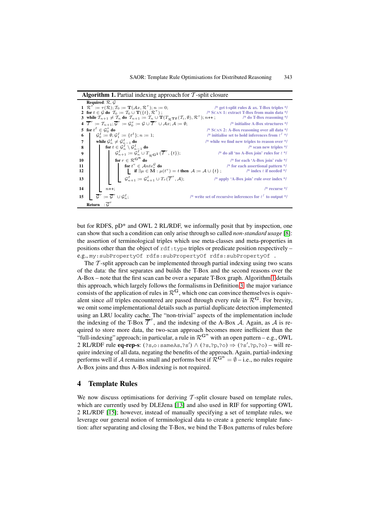**Algorithm 1.** Partial indexing approach for  $\mathcal{T}$ -split closure **Required**: R, G **1**  $\mathcal{R}^{\tau} := \tau(\mathcal{R}); \mathcal{T}_0 := \mathbf{T}(\mathcal{A}x, \mathcal{R}^{\tau}); n := 0;$ <br> **2** for  $t \in \mathcal{G}$  do  $\mathcal{T}_0 := \mathcal{T}_0 \cup \mathbf{T}(\{t\}, \mathcal{R}^{\tau});$ <br>  $\qquad \qquad \qquad$  /\* SCAN 1: extract T-Box from main data \*/ **while**  $\overline{T}_{n+1} \neq \overline{T}_n$  **do**  $\overline{T}_{n+1} := T_n \cup \mathbf{T}(T_{\mathcal{R}}\mathbf{T}_0(T_i, \emptyset), \mathcal{R}^{\tau})$ ;  $n+1$ ; <br> **/\*** do T-Box reasoning \*/<br> **4**  $\overline{T}^{\tau} := T_{n+1} : \overline{G}^{\tau} := G_{\sigma} \cup \overline{T}^{\tau} \cup \mathcal{A}x$ ;  $\mathcal{A} := \emptyset$ : <br> **/\*** initialise A-B  $\overline{\mathcal{T}}^{\tau} := \mathcal{T}_{n+1}; \overline{\mathcal{G}}^{\tau} := \mathcal{G} \cup \overline{\mathcal{T}}^{\tau} \cup \mathcal{A}x; \mathcal{A} := \emptyset;$  /\* initialise A-Box structures \*/ **f for**  $t^I \in \mathcal{G}_0^{\tau}$  **do** <br> **6 d**  $\mathcal{G}_0^I := \emptyset; \mathcal{G}_1^I := \{t^I\}; n := 1;$  <br> **6 f**  $\mathcal{G}_0^I := \emptyset; \mathcal{G}_1^I := \{t^I\}; n := 1;$  <br> *f\** initialise set to hold inferences from  $t^{I \pi}/$  $I^*$  initialise set to hold inferences from  $I^I$ **y while**  $G_n^I \neq G_{n-1}^I$  **do** <br>**for**  $t \in G_n^I \setminus G_{n-1}^I$  **do** <br>*f*\* scan new triples \*/<br>*f*\* scan new triples \*/ **8 do** *for*  $t \in G_n^I \setminus G_{n-1}^I$  *<b>do /\* scan new triples \*/*<br> **9 do all 'no A-Box join' rules for**  $t$  **\*/<br>
<b>9 do all 'no A-Box join' rules for**  $t$  **\*/<br>
<b>9 do all 'no A-Box join' rules for**  $t$  **\*/ for**  $r \in \mathcal{R}^{\mathbf{G}^{\mathbf{n}}}$  **do 10 do** *do the*  $\mathcal{P}(\mathbb{R}^n)$  *<b>do <i>do if*  $\mathcal{P}(\mathbb{R}^n)$  **do** *d d d f d d d d d d d d d d d d d d d d d d d d* for  $t^v \in \mathcal{A}nte^{\mathcal{G}}_r$ **11 do <b>***t*  $^{\circ} \in$  Ante<sup>G</sup> **do** <br>**12 d** *d i*  $^{\circ} \exists u \in M : u(t^v) = t$  **then**  $A := A \cup \{t\} :$  (\* index t if needed \*/ **if**  $\exists \mu \in \mathbf{M} : \mu(t^v) = t$  then  $\mathcal{A} := \mathcal{A} \cup \{t\}$ ;  $\mu^s$  index t if needed \*/ **13**  $\qquad \qquad \downarrow \qquad \qquad \mathcal{G}_{n+1}^I := \mathcal{G}_{n+1}^I \cup T_r(\overline{\mathcal{T}}^{\tau}, \mathcal{A});$  /\* apply 'A-Box join' rule over index \*/ **14** *n***++;** */\** **recurse \*/**  $\overline{\mathcal{G}}^{\tau} := \overline{\mathcal{G}}^{\tau} \cup \mathcal{G}_n^I;$ **n 15 t**  $\overline{\mathcal{G}}^{\tau} := \overline{\mathcal{G}}^{\tau} \cup \mathcal{G}_{n}^{I}$ ;  $\qquad \qquad$  /\* write set of recursive inferences for  $t^{I}$  to output \*/ **Return** :  $\overline{\mathcal{G}}^{\tau}$ 

but for RDFS, pD\* and OWL 2 RL/RDF, we informally posit that by inspection, one can show that such a condition can only arise through so called *non-standard usage* [\[8\]](#page-16-4): the assertion of terminological triples which use meta-classes and meta-properties in positions other than the object of  $rdf$ : type triples or predicate position respectively – e.g., my:subPropertyOf rdfs:subPropertyOf rdfs:subPropertyOf .

<span id="page-6-0"></span>The  $\tau$ -split approach can be implemented through partial indexing using two scans of the data: the first separates and builds the T-Box and the second reasons over the A-Box – note that the first scan can be over a separate T-Box graph. Algorithm [1](#page-6-0) details this approach, which largely follows the formalisms in Definition [3:](#page-4-2) the major variance consists of the application of rules in  $\mathcal{R}^{\mathbf{G}}$ , which one can convince themselves is equivalent since *all* triples encountered are passed through every rule in  $\mathcal{R}^{\mathbf{G}}$ . For brevity, we omit some implementational details such as partial duplicate detection implemented using an LRU locality cache. The "non-trivial" aspects of the implementation include the indexing of the T-Box  $\overline{T}^{\tau}$ , and the indexing of the A-Box  $\overline{A}$ . Again, as  $\overline{A}$  is required to store more data, the two-scan approach becomes more inefficient than the "full-indexing" approach; in particular, a rule in  $\mathcal{R}^{G^n}$  with an open pattern – e.g., OWL 2 RL/RDF rule **eq-rep-s**: (?s,o:sameAs,?s')∧(?s,?p,?o)⇒(?s',?p,?o)-will require indexing of all data, negating the benefits of the approach. Again, partial-indexing performs well if A remains small and performs best if  $\mathcal{R}^{G^n} = \emptyset$  – i.e., no rules require A-Box joins and thus A-Box indexing is not required.

## **4 Template Rules**

We now discuss optimisations for deriving  $T$ -split closure based on template rules, which are currently used by DLEJena [\[13\]](#page-16-12) and also used in RIF for supporting OWL 2 RL/RDF [\[15\]](#page-16-13); however, instead of manually specifying a set of template rules, we leverage our general notion of terminological data to create a generic template function: after separating and closing the T-Box, we bind the T-Box patterns of rules before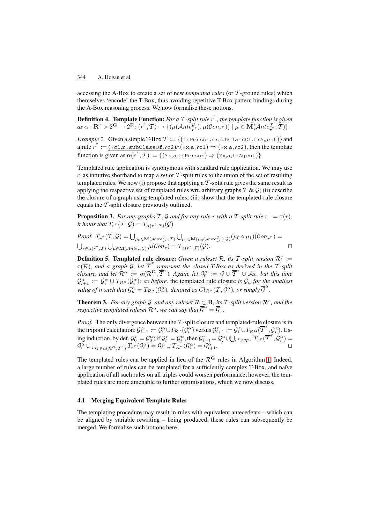accessing the A-Box to create a set of new *templated rules* (or T -ground rules) which themselves 'encode' the T-Box, thus avoiding repetitive T-Box pattern bindings during the A-Box reasoning process. We now formalise these notions.

**Definition 4. Template Function:** *For a T*-split rule  $r^{\tau}$ , the template function is given  $as \alpha : \mathbf{R}^{\tau} \times 2^{\mathbf{G}} \to 2^{\mathbf{R}}$ ;  $(r^{\tau}, \mathcal{T}) \mapsto \{(\mu(\text{Ant}e^{\mathcal{G}}_{r^{\tau}}), \mu(\text{Con}_{r^{\tau}})) \mid \mu \in \mathbf{M}(\text{Ant}e^{\mathcal{T}}_{r^{\tau}}, \mathcal{T})\}.$ 

*Example 2.* Given a simple T-Box  $\mathcal{T} := \{ (f: Person, r: subClassOf, f: Agent) \}$  and a rule  $r^{\dagger} := (2c1, r: \text{subClassOf}, 2c2) \land (2x, a, 2c1) \Rightarrow (2x, a, 2c2)$ , then the template function is given as  $\alpha(r^{\tau}, \mathcal{T}) := \{(\text{?x},a,\text{f:Person}) \Rightarrow (\text{?x},a,\text{f:Agent})\}.$ 

Templated rule application is synonymous with standard rule application. We may use  $\alpha$  as intuitive shorthand to map a *set* of T-split rules to the union of the set of resulting templated rules. We now (i) propose that applying a  $\mathcal T$ -split rule gives the same result as applying the respective set of templated rules wrt. arbitrary graphs  $\mathcal{T} \& \mathcal{G}$ ; (ii) describe the closure of a graph using templated rules; (iii) show that the templated-rule closure equals the  $\mathcal T$ -split closure previously outlined.

**Proposition 3.** For any graphs T, G and for any rule r with a T-split rule  $r^{\dagger} = \tau(r)$ , *it holds that*  $T_{r^{\tau}}(\mathcal{T}, \mathcal{G}) = T_{\alpha(r^{\tau}, \mathcal{T})}(\mathcal{G})$ *.* 

Proof. 
$$
T_{r^{\tau}}(\mathcal{T}, \mathcal{G}) = \bigcup_{\mu_{0} \in \mathbf{M}(\mathcal{A}nt e_{r^{\tau}}^{\mathcal{T}}, \mathcal{T})} \bigcup_{\mu_{1} \in \mathbf{M}(\mu_{0}(\mathcal{A}nt e_{r^{\tau}}^{\mathcal{G}}), \mathcal{G})} (\mu_{0} \circ \mu_{1})(\mathcal{C}on_{r^{\tau}}) = \bigcup_{r \in \alpha(r^{\tau}, \mathcal{T})} \bigcup_{\mu \in \mathbf{M}(\mathcal{A}nt e_{r}, \mathcal{G})} \mu(\mathcal{C}on_{r}) = T_{\alpha(r^{\tau}, \mathcal{T})}(\mathcal{G}).
$$

**Definition 5. Templated rule closure:** *Given a ruleset*  $\mathcal{R}$ *, its*  $\mathcal{T}$ *-split version*  $\mathcal{R}^{\tau}$  :=  $\tau(\mathcal{R})$ *, and a graph G, let*  $\overline{\mathcal{T}}^{\tau}$  *represent the closed T-Box as derived in the T-split closure, and let*  $\mathcal{R}^{\alpha} := \alpha(\mathcal{R}^{\mathbf{G}}, \overline{\mathcal{I}}^{\tau})$ *. Again, let*  $\mathcal{G}_0^{\alpha} := \mathcal{G} \cup \overline{\mathcal{I}}^{\tau} \cup \mathcal{A}x$ *, but this time*  $\mathcal{G}_{i+1}^{\alpha} := \mathcal{G}_{i}^{\alpha} \cup T_{\mathcal{R}^{\alpha}}(\mathcal{G}_{i}^{\alpha})$ ; as before, the templated rule closure *is*  $\mathcal{G}_{n}$  for the smallest *value of* n *such that*  $\mathcal{G}_n^{\alpha} = T_{\mathcal{R}^{\alpha}}(\mathcal{G}_n^{\alpha})$ , denoted as  $Cl_{\mathcal{R}^{\alpha}}(\mathcal{T}, \mathcal{G}^{\alpha})$ , or simply  $\overline{\mathcal{G}}^{\alpha}$ .

**Theorem 3.** *For any graph G, and any ruleset*  $\mathcal{R} \subset \mathbf{R}$ *, its*  $\mathcal{T}$ *-split version*  $\mathcal{R}^{\tau}$ *, and the respective templated ruleset*  $\mathcal{R}^{\alpha}$ , we can say that  $\overline{\mathcal{G}}^{\alpha} = \overline{\mathcal{G}}^{\tau}$ .

*Proof.* The only divergence between the T-split closure and templated-rule closure is in the fixpoint calculation:  $\mathcal{G}_{i+1}^{\alpha} := \mathcal{G}_{i}^{\alpha} \cup T_{\mathcal{R}^{\alpha}}(\mathcal{G}_{i}^{\alpha})$  versus  $\mathcal{G}_{i+1}^{\tau} := \mathcal{G}_{i}^{\tau} \cup T_{\mathcal{R}^{\mathbf{G}}}(\overline{\mathcal{T}}^{\tau}, \mathcal{G}_{i}^{\tau}).$  Using induction, by def.  $\mathcal{G}_0^{\tau} = \mathcal{G}_0^{\alpha}$ ; if  $\mathcal{G}_i^{\tau} = \mathcal{G}_i^{\alpha}$ , then  $\mathcal{G}_{i+1}^{\tau} = \mathcal{G}_i^{\alpha} \cup \bigcup_{r^{\tau} \in \mathcal{R}^{\mathbf{G}}} T_{r^{\tau}}(\overline{\mathcal{T}}^{\tau}, \mathcal{G}_i^{\alpha}) =$  $\mathcal{G}^{\alpha}_i \cup \bigcup_{r \in \alpha(\mathcal{R}^{\mathbf{G}}, \overline{\mathcal{T}}^r)} T_r{}^{\tau}(\mathcal{G}^{\alpha}_i) = \mathcal{G}^{\alpha}_i \cup T_{\mathcal{R}^{\alpha}}(\mathcal{G}^{\alpha}_i) = \mathcal{G}^{\alpha}_{i+1}.$ 

The templated rules can be applied in lieu of the  $\mathcal{R}^G$  rules in Algorithm [1.](#page-6-0) Indeed, a large number of rules can be templated for a sufficiently complex T-Box, and naïve application of all such rules on all triples could worsen performance; however, the templated rules are more amenable to further optimisations, which we now discuss.

### **4.1 Merging Equivalent Template Rules**

The templating procedure may result in rules with equivalent antecedents – which can be aligned by variable rewriting – being produced; these rules can subsequently be merged. We formalise such notions here.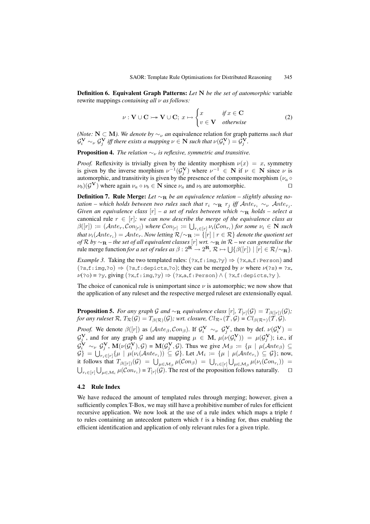**Definition 6. Equivalent Graph Patterns:** *Let* **N** *be the set of automorphic* variable rewrite mappings *containing all* ν *as follows:*

$$
\nu : \mathbf{V} \cup \mathbf{C} \rightarrowtail \mathbf{V} \cup \mathbf{C}; \ x \mapsto \begin{cases} x & \text{if } x \in \mathbf{C} \\ v \in \mathbf{V} & \text{otherwise} \end{cases} \tag{2}
$$

*(Note:* **N** ⊂ **M***). We denote by* ∼<sup>ν</sup> *an* equivalence relation for graph patterns *such that*  $\mathcal{G}_i^{\mathbf{V}} \sim_{\nu} \mathcal{G}_j^{\mathbf{V}}$  iff there exists a mapping  $\nu \in \mathbf{N}$  such that  $\nu(\mathcal{G}_i^{\mathbf{V}}) = \mathcal{G}_j^{\mathbf{V}}$ .

**Proposition 4.** *The relation*  $\sim_{\nu}$  *is reflexive, symmetric and transitive.* 

*Proof.* Reflexivity is trivially given by the identity morphism  $\nu(x) = x$ , symmetry is given by the inverse morphism  $\nu^{-1}(\mathcal{G}_{j}^{\mathbf{V}})$  where  $\nu^{-1} \in \mathbf{N}$  if  $\nu \in \mathbf{N}$  since  $\nu$  is automorphic, and transitivity is given by the presence of the composite morphism ( $\nu_a \circ$  $(\nu_b)(\mathcal{G}^{\mathbf{V}})$  where again  $\nu_a \circ \nu_b \in \mathbf{N}$  since  $\nu_a$  and  $\nu_b$  are automorphic.

**Definition 7. Rule Merge:** *Let* ∼**<sup>R</sup>** *be an equivalence relation – slightly abusing notation – which holds between two rules such that*  $r_i \sim_R r_i$  *iff Ante<sub>ri</sub>*  $\sim_{\nu}$  Ante<sub>ri</sub>. *Given an equivalence class* [r] *– a set of rules between which* ∼**<sup>R</sup>** *holds – select a* canonical rule  $r \in [r]$ *; we can now describe the merge of the equivalence class as*  $\beta([r]) := ( \text{Ant}e_r, \text{Con}_{[r]})$  where  $\text{Con}_{[r]} := \bigcup_{r_i \in [r]} \nu_i(\text{Con}_{r_i})$  for some  $\nu_i \in \mathbb{N}$  such *that*  $\nu_i(Ante_{r_i}) = Ante_r$ . Now letting  $\mathcal{R}/\sim_\mathbf{R} := \{[r] \mid r \in \mathcal{R}\}$  denote the quotient set *of* R *by* ∼**<sup>R</sup>** *– the set of all equivalent classes* [r] *wrt.* ∼**<sup>R</sup>** *in* R *– we can generalise the* rule merge function *for a set of rules as*  $\beta: 2^{\mathbf{R}} \to 2^{\mathbf{R}}, \mathcal{R} \mapsto \bigcup \{ \beta([r]) \mid [r] \in \mathcal{R}/\sim_{\mathbf{R}} \}.$ 

*Example 3.* Taking the two templated rules:  $(2x, f : img, ?y) \Rightarrow (2x, a, f : Person)$  and  $(?s, f:img, ?o) \Rightarrow (?s, f:depicts, ?o);$  they can be merged by  $\nu$  where  $\nu(?s) = ?x$ ,  $\nu(?) = ?y$ , giving  $(?x, f:img, ?y) \Rightarrow (?x, a, f: Person) \wedge (?x, f:depicts, ?y).$ 

The choice of canonical rule is unimportant since  $\nu$  is automorphic; we now show that the application of any ruleset and the respective merged ruleset are extensionally equal.

**Proposition 5.** *For any graph* G *and* ∼**R** *equivalence class*  $[r]$ *,*  $T_{[r]}(\mathcal{G}) = T_{\beta([r])}(\mathcal{G})$ *; for any ruleset*  $\mathcal{R}$ *,*  $T_{\mathcal{R}}(\mathcal{G}) = T_{\beta(\mathcal{R})}(\mathcal{G})$ *; wrt. closure,*  $Cl_{\mathcal{R}^{\alpha}}(\mathcal{T}, \mathcal{G}) = Cl_{\beta(\mathcal{R}^{\alpha})}(\mathcal{T}, \mathcal{G})$ *.* 

*Proof.* We denote  $\beta([r])$  as  $(\text{Ante}_{\beta}, \text{Con}_{\beta})$ . If  $\mathcal{G}_{i}^{\mathbf{V}} \sim_{\nu} \mathcal{G}_{j}^{\mathbf{V}}$ , then by def.  $\nu(\mathcal{G}_{i}^{\mathbf{V}}) =$  $\mathcal{G}_{j}^{\mathbf{V}}$ , and for any graph  $\mathcal{G}$  and any mapping  $\mu \in \mathbf{M}$ ,  $\mu(\nu(\mathcal{G}_{i}^{\mathbf{V}})) = \mu(\mathcal{G}_{j}^{\mathbf{V}})$ ; i.e., if  $\mathcal{G}_{i}^{\mathbf{V}} \sim_{\nu} \mathcal{G}_{j}^{\mathbf{V}}, \mathbf{M}(\nu(\mathcal{G}_{i}^{\mathbf{V}}), \mathcal{G}) = \mathbf{M}(\mathcal{G}_{j}^{\mathbf{V}}, \mathcal{G})$ . Thus we give  $\mathcal{M}_{\beta} := \{\mu \mid \mu(\mathcal{A}nte_{\beta}) \subseteq$  $\mathcal{G}\} = \bigcup_{r_i \in [r]} \{\mu \mid \mu(\nu_i(\mathcal{A}nt_{r_i})) \subseteq \mathcal{G}\}\)$ . Let  $\mathcal{M}_i := \{\mu \mid \mu(\mathcal{A}nt_{r_i}) \subseteq \mathcal{G}\}\)$ ; now, it follows that  $T_{\beta([r])}(\mathcal{G}) = \bigcup_{\mu \in \mathcal{M}_{\beta}} \mu(\mathcal{C}on_{\beta}) = \bigcup_{r_i \in [r]} \bigcup_{\mu \in \mathcal{M}_{\beta}} \mu(\nu_i(\mathcal{C}on_{r_i})) =$  $\bigcup_{r_i \in [r]} \bigcup_{\mu \in \mathcal{M}_i} \mu(\mathcal{C}on_{r_i}) = T_{[r]}(\mathcal{G})$ . The rest of the proposition follows naturally.  $\Box$ 

## **4.2 Rule Index**

We have reduced the amount of templated rules through merging; however, given a sufficiently complex T-Box, we may still have a prohibitive number of rules for efficient recursive application. We now look at the use of a rule index which maps a triple  $t$ to rules containing an antecedent pattern which  $t$  is a binding for, thus enabling the efficient identification and application of only relevant rules for a given triple.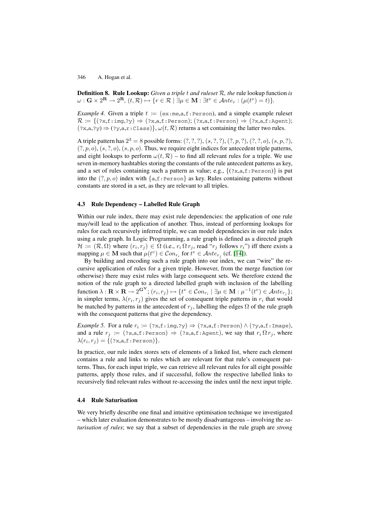**Definition 8. Rule Lookup:** *Given a triple* t *and ruleset* R*, the* rule lookup function *is*  $\omega$  :  $\mathbf{G} \times 2^{\mathbf{R}} \to 2^{\mathbf{R}}$ ,  $(t, \mathcal{R}) \mapsto \{r \in \mathcal{R} \mid \exists \mu \in \mathbf{M} : \exists t^{v} \in \mathcal{A}nte_{r} : (\mu(t^{v}) = t)\}.$ 

*Example 4.* Given a triple  $t := (\text{ex:me.a.f:Person})$ , and a simple example ruleset  $\mathcal{R} \coloneqq \{ (2x, f:img, ?y) \Rightarrow (2x, a, f: Person); (2x, a, f: Person) \Rightarrow (2x, a, f:$ *Agent* $);$  $(\gamma_{x,a},\gamma_{y}) \Rightarrow (\gamma_{y,a,r}:\text{Class})\}, \omega(t,\mathcal{R})$  returns a set containing the latter two rules.

A triple pattern has  $2^3 = 8$  possible forms:  $(?,?,?,), (s,?,?,), (?,,?,), (?,?,, o), (s, p, ?),$  $(?, p, o), (s, ?, o), (s, p, o)$ . Thus, we require eight indices for antecedent triple patterns, and eight lookups to perform  $\omega(t, \mathcal{R})$  – to find all relevant rules for a triple. We use seven in-memory hashtables storing the constants of the rule antecedent patterns as key, and a set of rules containing such a pattern as value; e.g.,  $\{(?x,a,f;Person)\}\$ is put into the  $(?, p, o)$  index with  ${a, f: Person}$  as key. Rules containing patterns without constants are stored in a set, as they are relevant to all triples.

#### **4.3 Rule Dependency – Labelled Rule Graph**

Within our rule index, there may exist rule dependencies: the application of one rule may/will lead to the application of another. Thus, instead of performing lookups for rules for each recursively inferred triple, we can model dependencies in our rule index using a rule graph. In Logic Programming, a rule graph is defined as a directed graph  $\mathcal{H} := (\mathcal{R}, \Omega)$  where  $(r_i, r_j) \in \Omega$  (i.e.,  $r_i \Omega r_j$ , read " $r_j$  follows  $r_i$ ") iff there exists a mapping  $\mu \in \mathbf{M}$  such that  $\mu(t^v) \in \mathcal{C}on_{r_i}$  for  $t^v \in \mathcal{A}nte_{r_j}$  (cf. [\[14\]](#page-16-14)).

By building and encoding such a rule graph into our index, we can "wire" the recursive application of rules for a given triple. However, from the merge function (or otherwise) there may exist rules with large consequent sets. We therefore extend the notion of the rule graph to a directed labelled graph with inclusion of the labelling  $\text{function } \lambda : \mathbf{R} \times \mathbf{R} \to 2^{\mathbf{G}^{\mathbf{V}}}; (r_i, r_j) \mapsto \{ t^v \in \mathcal{C}on_{r_i} \mid \exists \mu \in \mathbf{M} : \mu^{-1}(t^v) \in \mathcal{A}nte_{r_j} \};$ in simpler terms,  $\lambda(r_i, r_j)$  gives the set of consequent triple patterns in  $r_i$  that would be matched by patterns in the antecedent of  $r_j$ , labelling the edges  $\Omega$  of the rule graph with the consequent patterns that give the dependency.

*Example 5.* For a rule  $r_i := (?x, f:img, ?y) \Rightarrow (?x, a, f: Person) \land (?y, a, f: Image),$ and a rule  $r_j := (?s,a,f:Person) \Rightarrow (?s,a,f:Agent)$ , we say that  $r_i \Omega r_j$ , where  $\lambda(r_i, r_j) = \{(\text{?x}, \text{a}, \text{f}: \text{Person})\}.$ 

In practice, our rule index stores sets of elements of a linked list, where each element contains a rule and links to rules which are relevant for that rule's consequent patterns. Thus, for each input triple, we can retrieve all relevant rules for all eight possible patterns, apply those rules, and if successful, follow the respective labelled links to recursively find relevant rules without re-accessing the index until the next input triple.

#### **4.4 Rule Saturisation**

We very briefly describe one final and intuitive optimisation technique we investigated – which later evaluation demonstrates to be mostly disadvantageous – involving the *saturisation of rules*; we say that a subset of dependencies in the rule graph are *strong*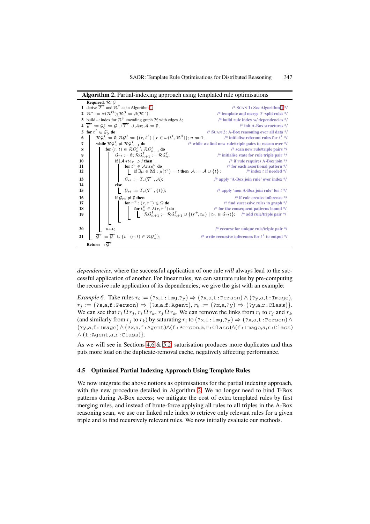**Algorithm 2.** Partial-indexing approach using templated rule optimisations **Required:**  $R$ ,  $G$ <br> **derive**  $\overline{T}^T$  and  $R^T$  as in Algorithm [1;](#page-6-0) */\** SCAN [1](#page-6-0): See Algorithm 1<sup>\*</sup>/ **2**  $\mathcal{R}^{\alpha} := \alpha(\mathcal{R}^{\mathbf{G}}); \mathcal{R}^{\beta} := \beta(\mathcal{R}^{\alpha});$  /\* template and merge T-split rules \*/ **3** build  $\omega$  index for  $\mathcal{R}^{\beta}$  encoding graph H with edges  $\lambda$ ;  $\gamma^*$  build rule index w/ dependencies \*/  $\mathcal{G}^{\tau} := \mathcal{G}_{0}^{\tau} := \mathcal{G} \cup \overline{\mathcal{T}}^{\tau} \cup \mathcal{A}\mathcal{x}; \mathcal{A} := \emptyset;$  /\* init A-Box structures \*/ for  $t^{I} \in \mathcal{G}_{0}^{\tau}$ **5 for**  $t^I \in \mathcal{G}_0^{\tau}$  **do**<br> **6 d**  $\mathcal{RG}_0^I := \emptyset; \mathcal{RG}_1^I := \{(r, t^I) \mid r \in \omega(t^I, \mathcal{R}^{\beta})\}; n := 1;$  **/\*** initialise relevant rules for  $t^{I \ */}$ while  $\mathcal{RG}_n^I \neq \mathcal{RG}_n^I$ **thile**  $\mathcal{RG}_n^I \neq \mathcal{RG}_{n-1}^I$  **do**<br> **for**  $(r, t) \in \mathcal{RG}_n^I \setminus \mathcal{RG}_{n-1}^I$  **do**<br> *for* $(r, t) \in \mathcal{RG}_n^I \setminus \mathcal{RG}_{n-1}^I$  **do**<br> *f***<sup>\*</sup> scan new rule/triple pairs \*/ 7 c while**  $\mathcal{R}\mathcal{G}_n^I \neq \mathcal{R}\mathcal{G}_{n-1}^I$  **do** <br>**8 do** *for*  $(r, t) \in \mathcal{R}\mathcal{G}_n^I \setminus \mathcal{R}\mathcal{G}_n^I$  **do** *the defective pairs*  $*$ */\** scan new rule/triple pairs  $*$ /  $\mathcal{G}_{rt} := \emptyset; \mathcal{RG}_{n+1}^I := \mathcal{RG}_n^I;$ <br>if  $|\mathcal{A}nte_r| > l$  then **9**  $\mathcal{G}_{rt} := \emptyset; \mathcal{RG}_{n+1}^1 := \mathcal{RG}_n^I;$  /\* initialise state for rule triple pair \*/<br> **10 if**  $|\mathcal{A}nte_r| > I$  **then** /\* if rule requires A-Box join \*/ **<sup>/\*</sup>** if rule requires A-Box join \*/<br>/\* for each assertional pattern \*/ for  $t^i$  $\in$  Ante<sup>G</sup> do **11 do** *l* **<b>***t*  $\in$  *do d d i* **<b>c** *d di*  $\exists \mu \in \mathbf{M} : \mu(t^{\nu}) = t$  **then**  $\mathcal{A} := \mathcal{A} \cup \{t\}$ ;  $\qquad \qquad$  *f* index *t* if needed \*/ **13 c**  $G_{rt} := T_r(\overline{T}^{\tau}, A);$  /\* apply 'A-Box join rule' over index \*/ **14 else**<br> **15 else**<br> **15 else**<br> **15 else**<br> **15 else**<br> **15 else**<br> **15 e 15 c**  $\mathcal{G}_{rt} := T_r(\overline{T}^{\tau}, \{t\});$  /\* apply 'non A-Box join rule' for t \*/ **16 if**  $\mathcal{G}_{rt} \neq \emptyset$  **then** */\** if rule creates inference \*/<br> **17 if**  $\mathcal{G}_{rt} \neq \emptyset$  **then** *l* **for**  $r^+ : (r, r^+) \in \Omega$  **do** *l*<sup>\*</sup> find successive rules in graph \*/ **for h i l for**  $r^+$  :  $(r, r^+) \in \Omega$  **do** *f for f <i>f* **<b>***f f f for f f f f f f f f f f f f f f <i>f f f f f f* for  $t_n^v$ **18 do** *here do here do for t***<sup>n</sup> <b>***do <i>f***<sup>n</sup> <b>***do for the consequent patterns bound \*/<br><b>19 d <i>for t***<sub>n</sub><sup>***n***</sup> <b>***g d***<sub>n</sub>**<sub>1</sub> **i** =  $\mathcal{R}\mathcal{G}_{n+1}^I \cup \{(r^+, t_n) \mid t_n \in \mathcal{G}_{rt}\}$ }; /\* ad  $\begin{array}{|c|c|c|c|c|}\hline \rule{0pt}{12pt}\quad & \quad\quad & \mathcal{R}\mathcal{G}_{n+1}^I \coloneqq \mathcal{R}\mathcal{G}_{n+1}^I \cup \{(r^+, t_n) \mid t_n \in \mathcal{G}_{rt})\}; & \text{\it $\;\;\mathbb{M}$ add rule/triple pair $\mathbb{W}$} \end{array}$ **20** *n***++; <b>***n***++;** *<i>n n x <i>n <i>x <i>n <i>x <i>x <i>x <i>x <i>x <i>x <i>x <i>x <i>x <i>x <i>x <i>x <i>x <i>x***</del>** *<i>x***</del> <b>***<i>x <i>x <i>x <i>x <i>x*  $\overline{\mathcal{G}}^{\tau} := \overline{\mathcal{G}}^{\tau} \cup \{t \mid (r, t) \in \mathcal{RG}_{n}^{I}\};$  $\overline{\mathcal{G}}^{\tau}:=\overline{\mathcal{G}}^{\tau}\cup\{t\mid (r,t)\in\mathcal{RG}_{n}^{I}\};$  /\* write recursive inferences for  $t^{I}$  to output \*/ **Return** :  $\overline{\mathcal{G}}$ 

<span id="page-10-0"></span>*dependencies*, where the successful application of one rule *will* always lead to the successful application of another. For linear rules, we can saturate rules by pre-computing the recursive rule application of its dependencies; we give the gist with an example:

*Example 6.* Take rules  $r_i := (?x, f:img, ?y) \Rightarrow (?x, a, f: Person) \wedge (?y, a, f: Image),$  $r_j := (?s,a,f:Person) \Rightarrow (?s,a,f:Agent), r_k := (?x,a,Y) \Rightarrow (?y,a,r:Class)).$ We can see that  $r_i \Omega r_i$ ,  $r_i \Omega r_k$ ,  $r_j \Omega r_k$ . We can remove the links from  $r_i$  to  $r_j$  and  $r_k$ (and similarly from  $r_i$  to  $r_k$ ) by saturating  $r_i$  to  $(?x,f:img,?y) \Rightarrow (?x,a,f:Person) \land$ (?y,a,f:Image)∧ (?x,a,f:Agent)∧(f:Person,a,r:Class)∧(f:Image,a,r:Class) ∧ (f:Agent,a,r:Class)}.

As we will see in Sections [4.6](#page-11-0) & [5.2,](#page-13-0) saturisation produces more duplicates and thus puts more load on the duplicate-removal cache, negatively affecting performance.

## **4.5 Optimised Partial Indexing Approach Using Template Rules**

We now integrate the above notions as optimisations for the partial indexing approach, with the new procedure detailed in Algorithm [2.](#page-10-0) We no longer need to bind T-Box patterns during A-Box access; we mitigate the cost of extra templated rules by first merging rules, and instead of brute-force applying all rules to all triples in the A-Box reasoning scan, we use our linked rule index to retrieve only relevant rules for a given triple and to find recursively relevant rules. We now initially evaluate our methods.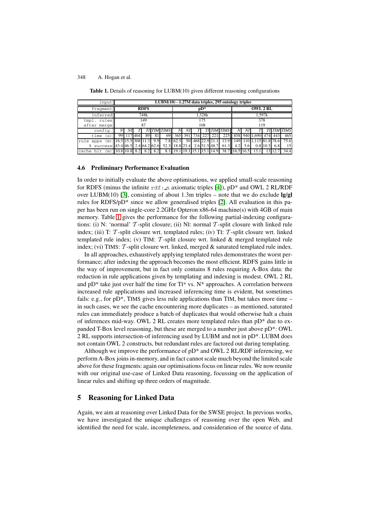| input                                    | LUBM(10) - 1.27M data triples, 295 ontology triples |    |         |     |        |                |          |     |                 |               |      |                |                  |      |                 |          |     |                 |
|------------------------------------------|-----------------------------------------------------|----|---------|-----|--------|----------------|----------|-----|-----------------|---------------|------|----------------|------------------|------|-----------------|----------|-----|-----------------|
| fragment                                 | <b>RDFS</b>                                         |    |         |     | $pD^*$ |                |          |     | <b>OWL 2 RL</b> |               |      |                |                  |      |                 |          |     |                 |
| inferred                                 | 748 <sub>k</sub>                                    |    |         |     | 1,328k |                |          |     | 1,597k          |               |      |                |                  |      |                 |          |     |                 |
| tmpl. rules                              | 149                                                 |    |         |     | 175    |                |          |     |                 | 378           |      |                |                  |      |                 |          |     |                 |
| after merge                              | 87                                                  |    |         |     | 108    |                |          |     |                 | 119           |      |                |                  |      |                 |          |     |                 |
| config.                                  | Ν                                                   | NI |         |     |        | TI TIM TIMSI   |          | ΝI  |                 |               |      | TI TIM TIMS    |                  |      |                 |          |     | <b>TIM TIMS</b> |
| time<br>' S،                             | 99                                                  |    | 117 404 | 89  | 81     | 69 I           | 365      | 391 | 734             | 227           |      | 225            | 858              | 940  | 1.690           | 474      |     | 465             |
| rule apps<br>(m)                         | $16.5$ 15.5 308 11.3                                |    |         |     | 9.91   |                | 7.8 62.5 | 50  |                 | 468122.9121   |      | 13.91          | 49               |      | 1,115 81.8 78.6 |          |     | 75.6            |
| success $ 43.4 46.5 2.4 64.2 62.6 $<br>g |                                                     |    |         |     |        | 52.3 18.8 23.4 |          |     |                 | 2.6 51.5 48.7 |      | 61.3           | 4.2 <sub>l</sub> | 5.61 |                 | 0.8 10.5 | 6.8 | 15              |
| cache hit<br>(m)                         | $10.8$ 10.8                                         |    |         | 8.2 | 8.2    |                | II19.1   | 19. |                 | 15.           | 14.9 | 38.7 16.5 16.5 |                  |      | 13.1            |          |     | 34.4            |

<span id="page-11-1"></span>**Table 1.** Details of reasoning for LUBM(10) given different reasoning configurations

#### <span id="page-11-0"></span>**4.6 Preliminary Performance Evaluation**

In order to initially evaluate the above optimisations, we applied small-scale reasoning for RDFS (minus the infinite  $rdf$ : n axiomatic triples [\[4\]](#page-16-9)), pD\* and OWL 2 RL/RDF over LUBM(10) [\[3\]](#page-16-15), consisting of about 1.3m triples – note that we do exclude **lg**/**gl** rules for RDFS/pD\* since we allow generalised triples [\[2\]](#page-16-10). All evaluation in this paper has been run on single-core 2.2GHz Opteron x86-64 machine(s) with 4GB of main memory. Table [1](#page-11-1) gives the performance for the following partial-indexing configurations: (i) N: 'normal'  $\mathcal T$ -split closure; (ii) NI: normal  $\mathcal T$ -split closure with linked rule index; (iii) T:  $\mathcal T$ -split closure wrt. templated rules; (iv) TI:  $\mathcal T$ -split closure wrt. linked templated rule index; (v) TIM:  $T$ -split closure wrt. linked & merged templated rule index; (vi) TIMS:  $\tau$ -split closure wrt. linked, merged & saturated templated rule index.

In all approaches, exhaustively applying templated rules demonstrates the worst performance; after indexing the approach becomes the most efficient. RDFS gains little in the way of improvement, but in fact only contains 8 rules requiring A-Box data: the reduction in rule applications given by templating and indexing is modest. OWL 2 RL and  $pD^*$  take just over half the time for  $T1^*$  vs.  $N^*$  approaches. A correlation between increased rule applications and increased inferencing time is evident, but sometimes fails: e.g., for pD<sup>\*</sup>, TIMS gives less rule applications than TIM, but takes more time – in such cases, we see the cache encountering more duplicates – as mentioned, saturated rules can immediately produce a batch of duplicates that would otherwise halt a chain of inferences mid-way. OWL 2 RL creates more templated rules than  $pD^*$  due to expanded T-Box level reasoning, but these are merged to a number just above pD\*: OWL 2 RL supports intersection-of inferencing used by LUBM and not in pD\*. LUBM does not contain OWL 2 constructs, but redundant rules are factored out during templating.

Although we improve the performance of  $pD^*$  and OWL 2 RL/RDF inferencing, we perform A-Box joins in-memory, and in fact cannot scale much beyond the limited scale above for these fragments: again our optimisations focus on linear rules. We now reunite with our original use-case of Linked Data reasoning, focussing on the application of linear rules and shifting up three orders of magnitude.

## **5 Reasoning for Linked Data**

Again, we aim at reasoning over Linked Data for the SWSE project. In previous works, we have investigated the unique challenges of reasoning over the open Web, and identified the need for scale, incompleteness, and consideration of the source of data.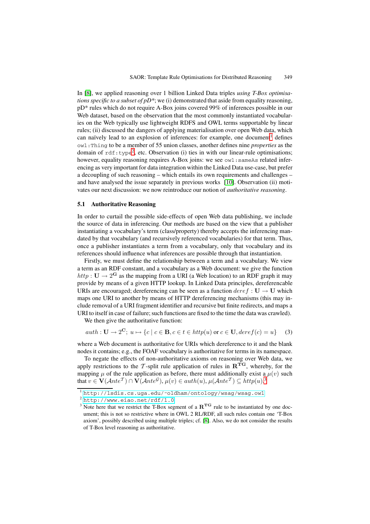In [\[8\]](#page-16-4), we applied reasoning over 1 billion Linked Data triples *using T-Box optimisations specific to a subset of pD\**; we (i) demonstrated that aside from equality reasoning, pD\* rules which do not require A-Box joins covered 99% of inferences possible in our Web dataset, based on the observation that the most commonly instantiated vocabularies on the Web typically use lightweight RDFS and OWL terms supportable by linear rules; (ii) discussed the dangers of applying materialisation over open Web data, which can naïvely lead to an explosion of inferences: for example, one document<sup>[1](#page-12-0)</sup> defines owl:Thing to be a member of 55 union classes, another defines nine *properties* as the domain of  $\text{rdf}: \text{type}^2$  $\text{rdf}: \text{type}^2$ , etc. Observation (i) ties in with our linear-rule optimisations; however, equality reasoning requires A-Box joins: we see owl: sameAs related inferencing as very important for data integration within the Linked Data use-case, but prefer a decoupling of such reasoning – which entails its own requirements and challenges – and have analysed the issue separately in previous works [\[10\]](#page-16-16). Observation (ii) motivates our next discussion: we now reintroduce our notion of *authoritative reasoning*.

#### **5.1 Authoritative Reasoning**

In order to curtail the possible side-effects of open Web data publishing, we include the source of data in inferencing. Our methods are based on the view that a publisher instantiating a vocabulary's term (class/property) thereby accepts the inferencing mandated by that vocabulary (and recursively referenced vocabularies) for that term. Thus, once a publisher instantiates a term from a vocabulary, only that vocabulary and its references should influence what inferences are possible through that instantiation.

Firstly, we must define the relationship between a term and a vocabulary. We view a term as an RDF constant, and a vocabulary as a Web document: we give the function  $http: U \rightarrow 2^{\mathbf{G}}$  as the mapping from a URI (a Web location) to an RDF graph it may provide by means of a given HTTP lookup. In Linked Data principles, dereferencable URIs are encouraged; dereferencing can be seen as a function  $deref : U \to U$  which maps one URI to another by means of HTTP dereferencing mechanisms (this may include removal of a URI fragment identifier and recursive but finite redirects, and maps a URI to itself in case of failure; such functions are fixed to the time the data was crawled).

We then give the authoritative function:

$$
auth: \mathbf{U} \to 2^{\mathbf{C}}; \ u \mapsto \{c \mid c \in \mathbf{B}, c \in t \in \text{http}(u) \text{ or } c \in \mathbf{U}, \text{deref}(c) = u\} \tag{3}
$$

where a Web document is authoritative for URIs which dereference to it and the blank nodes it contains; e.g., the FOAF vocabulary is authoritative for terms in its namespace.

To negate the effects of non-authoritative axioms on reasoning over Web data, we apply restrictions to the  $\mathcal{T}$ -split rule application of rules in  $\mathbb{R}^{\mathbf{T}G}$ , whereby, for the mapping  $\mu$  of the rule application as before, there must additionally exist a  $\mu(v)$  such that  $v \in \mathbf{V}(\mathcal{A}nte^{\mathcal{T}}) \cap \mathbf{V}(\mathcal{A}nte^{\mathcal{G}}), \mu(v) \in \overline{auth(u)}, \mu(\mathcal{A}nte^{\mathcal{T}}) \subseteq \overline{http(u)}^3$  $v \in \mathbf{V}(\mathcal{A}nte^{\mathcal{T}}) \cap \mathbf{V}(\mathcal{A}nte^{\mathcal{G}}), \mu(v) \in \overline{auth(u)}, \mu(\mathcal{A}nte^{\mathcal{T}}) \subseteq \overline{http(u)}^3$ 

 $\frac{1}{2}$ http://lsdis.cs.uga.edu/~oldham/ontology/wsag/wsag.owl<br> $\frac{2}{2}$ <http://www.eiao.net/rdf/1.0>

<span id="page-12-0"></span>

<span id="page-12-2"></span><span id="page-12-1"></span><sup>&</sup>lt;sup>3</sup> Note here that we restrict the T-Box segment of a  $\mathbf{R}^{\mathbf{T}\mathbf{G}}$  rule to be instantiated by one document; this is not so restrictive where in OWL 2 RL/RDF, all such rules contain one 'T-Box axiom', possibly described using multiple triples; cf. [\[8\]](#page-16-4). Also, we do not consider the results of T-Box level reasoning as authoritative.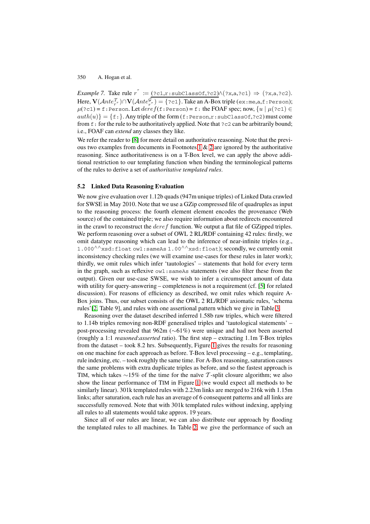*Example 7.* Take rule  $r^{\dagger} := (?c1, r: \text{subClassOf}, ?c2) \land (?x, a, ?c1) \Rightarrow (?x, a, ?c2).$ Here,  $\mathbf{V}(\mathcal{A}nt e_{r^{\tau}}^{\mathcal{T}}) \cap \mathbf{V}(\mathcal{A}nt e_{r^{\tau}}^{\mathcal{G}}) = \{ \text{?c1} \}.$  Take an A-Box triple (ex:me,a,f:Person);  $\mu$ (?c1) = f: Person. Let  $dereff$ (f: Person) = f: the FOAF spec; now,  $\{u \mid \mu$ (?c1)  $\in$  $auth(u) = {f:}.$  Any triple of the form  $(f:Person,r:subClassOf,?c2)$  must come from  $f$ : for the rule to be authoritatively applied. Note that  $\partial c^2$  can be arbitrarily bound; i.e., FOAF can *extend* any classes they like.

We refer the reader to [\[8\]](#page-16-4) for more detail on authoritative reasoning. Note that the previ-ous two examples from documents in Footnotes [1](#page-12-0)  $\&$  [2](#page-12-1) are ignored by the authoritative reasoning. Since authoritativeness is on a T-Box level, we can apply the above additional restriction to our templating function when binding the terminological patterns of the rules to derive a set of *authoritative templated rules*.

#### <span id="page-13-0"></span>**5.2 Linked Data Reasoning Evaluation**

We now give evaluation over 1.12b quads (947m unique triples) of Linked Data crawled for SWSE in May 2010. Note that we use a GZip compressed file of quadruples as input to the reasoning process: the fourth element element encodes the provenance (Web source) of the contained triple; we also require information about redirects encountered in the crawl to reconstruct the  $dere f$  function. We output a flat file of GZipped triples. We perform reasoning over a subset of OWL 2 RL/RDF containing 42 rules: firstly, we omit datatype reasoning which can lead to the inference of near-infinite triples (e.g., 1.000<sup> $\wedge \wedge$ </sup>xsd:float owl:sameAs 1.00<sup> $\wedge \wedge$ </sup>xsd:float); secondly, we currently omit inconsistency checking rules (we will examine use-cases for these rules in later work); thirdly, we omit rules which infer 'tautologies' – statements that hold for every term in the graph, such as reflexive  $\text{ow1:}\text{sameAs}$  statements (we also filter these from the output). Given our use-case SWSE, we wish to infer a circumspect amount of data with utility for query-answering – completeness is not a requirement (cf. [\[5\]](#page-16-17) for related discussion). For reasons of efficiency as described, we omit rules which require A-Box joins. Thus, our subset consists of the OWL 2 RL/RDF axiomatic rules, 'schema rules'[\[2,](#page-16-10) Table 9], and rules with one assertional pattern which we give in Table [3.](#page-15-0)

Reasoning over the dataset described inferred 1.58b raw triples, which were filtered to 1.14b triples removing non-RDF generalised triples and 'tautological statements' – post-processing revealed that 962m (∼61%) were unique and had not been asserted (roughly a 1:1 *reasoned*:*asserted* ratio). The first step – extracting 1.1m T-Box triples from the dataset – took 8.2 hrs. Subsequently, Figure [1](#page-14-0) gives the results for reasoning on one machine for each approach as before. T-Box level processing  $-e.g.,$  templating, rule indexing, etc. – took roughly the same time. For A-Box reasoning, saturation causes the same problems with extra duplicate triples as before, and so the fastest approach is TIM, which takes  $\sim$ 15% of the time for the naïve T-split closure algorithm; we also show the linear performance of TIM in Figure [1](#page-14-0) (we would expect all methods to be similarly linear). 301k templated rules with 2.23m links are merged to 216k with 1.15m links; after saturation, each rule has an average of 6 consequent patterns and all links are successfully removed. Note that with 301k templated rules without indexing, applying all rules to all statements would take approx. 19 years.

Since all of our rules are linear, we can also distribute our approach by flooding the templated rules to all machines. In Table [2,](#page-14-1) we give the performance of such an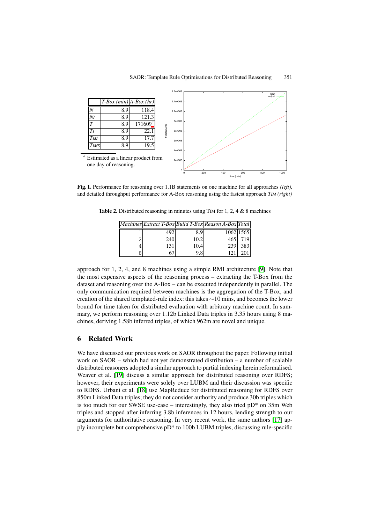

<span id="page-14-2"></span><span id="page-14-0"></span>**Fig. 1.** Performance for reasoning over 1.1B statements on one machine for all approaches *(left)*, and detailed throughput performance for A-Box reasoning using the fastest approach *TIM (right)*

**Table 2.** Distributed reasoning in minutes using TIM for 1, 2, 4  $\&$  8 machines

<span id="page-14-1"></span>

|     |      | Machines Extract T-Box Build T-Box Reason A-Box Total |           |
|-----|------|-------------------------------------------------------|-----------|
| 192 | 8.9  |                                                       | 1062 1565 |
| 240 | 10.2 | 465                                                   | 7191      |
| 131 | 10.4 | 239                                                   | 383       |
| 67  | 9.8  |                                                       |           |

approach for 1, 2, 4, and 8 machines using a simple RMI architecture [\[9\]](#page-16-2). Note that the most expensive aspects of the reasoning process – extracting the T-Box from the dataset and reasoning over the A-Box – can be executed independently in parallel. The only communication required between machines is the aggregation of the T-Box, and creation of the shared templated-rule index: this takes ∼10 mins, and becomes the lower bound for time taken for distributed evaluation with arbitrary machine count. In summary, we perform reasoning over 1.12b Linked Data triples in 3.35 hours using 8 machines, deriving 1.58b inferred triples, of which 962m are novel and unique.

# **6 Related Work**

We have discussed our previous work on SAOR throughout the paper. Following initial work on SAOR – which had not yet demonstrated distribution – a number of scalable distributed reasoners adopted a similar approach to partial indexing herein reformalised. Weaver et al. [\[19\]](#page-16-6) discuss a similar approach for distributed reasoning over RDFS; however, their experiments were solely over LUBM and their discussion was specific to RDFS. Urbani et al. [\[18\]](#page-16-7) use MapReduce for distributed reasoning for RDFS over 850m Linked Data triples; they do not consider authority and produce 30b triples which is too much for our SWSE use-case – interestingly, they also tried  $pD^*$  on 35m Web triples and stopped after inferring 3.8b inferences in 12 hours, lending strength to our arguments for authoritative reasoning. In very recent work, the same authors [\[17\]](#page-16-8) apply incomplete but comprehensive pD\* to 100b LUBM triples, discussing rule-specific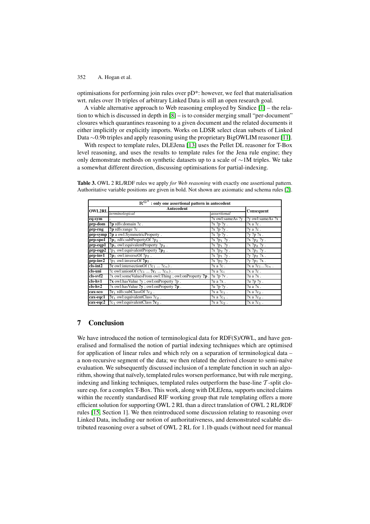optimisations for performing join rules over pD\*: however, we feel that materialisation wrt. rules over 1b triples of arbitrary Linked Data is still an open research goal.

A viable alternative approach to Web reasoning employed by Sindice [\[1\]](#page-16-0) – the relation to which is discussed in depth in [\[8\]](#page-16-4) – is to consider merging small "per-document" closures which quarantines reasoning to a given document and the related documents it either implicitly or explicitly imports. Works on LDSR select clean subsets of Linked Data ∼0.9b triples and apply reasoning using the proprietary BigOWLIM reasoner [\[11\]](#page-16-18).

With respect to template rules, DLEJena [\[13\]](#page-16-12) uses the Pellet DL reasoner for T-Box level reasoning, and uses the results to template rules for the Jena rule engine; they only demonstrate methods on synthetic datasets up to a scale of ∼1M triples. We take a somewhat different direction, discussing optimisations for partial-indexing.

**Table 3.** OWL 2 RL/RDF rules we apply *for Web reasoning* with exactly one assertional pattern. Authoritative variable positions are given in bold. Not shown are axiomatic and schema rules [\[2\]](#page-16-10).

<span id="page-15-0"></span>

| $R^{\mathbf{G}^1}$<br>: only one assertional pattern in antecedent |                                                       |                                     |                                       |  |  |  |  |
|--------------------------------------------------------------------|-------------------------------------------------------|-------------------------------------|---------------------------------------|--|--|--|--|
| <b>OWL2RL</b>                                                      | <b>Antecedent</b>                                     | Consequent                          |                                       |  |  |  |  |
|                                                                    | terminological                                        | assertional                         |                                       |  |  |  |  |
| eq-sym                                                             |                                                       |                                     | ?x owl:sameAs ?y . ?y owl:sameAs ?x . |  |  |  |  |
| prp-dom                                                            | ?p rdfs:domain ?c.                                    | ?x ?p ?y.                           | ?x a ?c.                              |  |  |  |  |
| prp-rng                                                            | ?p rdfs:range ?c.                                     | ?x ?p ?y.                           | $?y$ a $?c$ .                         |  |  |  |  |
|                                                                    | prp-symp <sup>2</sup> p a owl:SymmetricProperty.      | ?x ?p ?y.                           | $?y ?p ?x$ .                          |  |  |  |  |
| prp-spo1                                                           | $?p_1$ rdfs:subPropertyOf $?p_2$ .                    | $?x ?p_1 ?y.$                       | $?x ?p_2 ?y.$                         |  |  |  |  |
| $\overline{prp}$ -eqp1                                             | $?p_1$ owl:equivalentProperty ? $p_2$ .               | $?x ?p_1 ?y.$                       | $?x ?p_2 ?y.$                         |  |  |  |  |
| prp-eqp2                                                           | $?p_1$ owl: equivalent Property $?p_2$ .              | $\overline{?x}$ ?p <sub>2</sub> ?y. | $\overline{?x}$ ?p <sub>1</sub> ?y.   |  |  |  |  |
| prp-inv1                                                           | $?p_1$ owl:inverseOf $?p_2$ .                         | $?x ?p_1 ?y.$                       | $?y ?p_2 ?x.$                         |  |  |  |  |
| prp-inv2                                                           | $?p_1$ owl:inverseOf $?p_2$ .                         | $?x ?p_2 ?y.$                       | $?y ?p_1 ?x.$                         |  |  |  |  |
| $cls-int2$                                                         | ?c owl:intersectionOf $(2c_1 \dots 2c_n)$ .           | ?x a ?c.                            | $?x a ?c_1?c_n.$                      |  |  |  |  |
| cls-uni                                                            | ?c owl:unionOf $(2c_1  2c_i  2c_n)$ .                 | ?x a ?c <sub>i</sub>                | ?x a ?c.                              |  |  |  |  |
| cls-svf2                                                           | ?x owl:someValuesFrom owl:Thing ; owl:onProperty ?p.  | ?u ?p ?v.                           | ?u a ?x.                              |  |  |  |  |
| $cls-hv1$                                                          | ?x owl:has Value ?y; owl:on Property ?p.              | ?u a ?x.                            | $?u$ $?p$ $?y$ .                      |  |  |  |  |
| cls-hv2                                                            | ?x owl:has Value ?y; owl:on Property ?p.              | ?u ?p ?y.                           | $?u$ a $?x$ .                         |  |  |  |  |
| cax-sco                                                            | $?c1$ rdfs:subClassOf $?c2$ .                         | $?x a ?c_1.$                        | $?x a ?c2$ .                          |  |  |  |  |
| cax-eqc1                                                           | $?c1$ owl: equivalent Class $?c2$ .                   | $?x a ?c_1.$                        | $?x a ?c2$ .                          |  |  |  |  |
| $\overline{\text{cax-eqc2}}$                                       | ?c <sub>1</sub> owl:equivalentClass ?c <sub>2</sub> . | $?x a ?c2$ .                        | $?x a ?c_1.$                          |  |  |  |  |

# **7 Conclusion**

We have introduced the notion of terminological data for RDF(S)/OWL, and have generalised and formalised the notion of partial indexing techniques which are optimised for application of linear rules and which rely on a separation of terminological data – a non-recursive segment of the data; we then related the derived closure to semi-naïve evaluation. We subsequently discussed inclusion of a template function in such an algorithm, showing that naïvely, templated rules worsen performance, but with rule merging, indexing and linking techniques, templated rules outperform the base-line  $\mathcal T$ -split closure esp. for a complex T-Box. This work, along with DLEJena, supports uncited claims within the recently standardised RIF working group that rule templating offers a more efficient solution for supporting OWL 2 RL than a direct translation of OWL 2 RL/RDF rules [\[15,](#page-16-13) Section 1]. We then reintroduced some discussion relating to reasoning over Linked Data, including our notion of authoritativeness, and demonstrated scalable distributed reasoning over a subset of OWL 2 RL for 1.1b quads (without need for manual